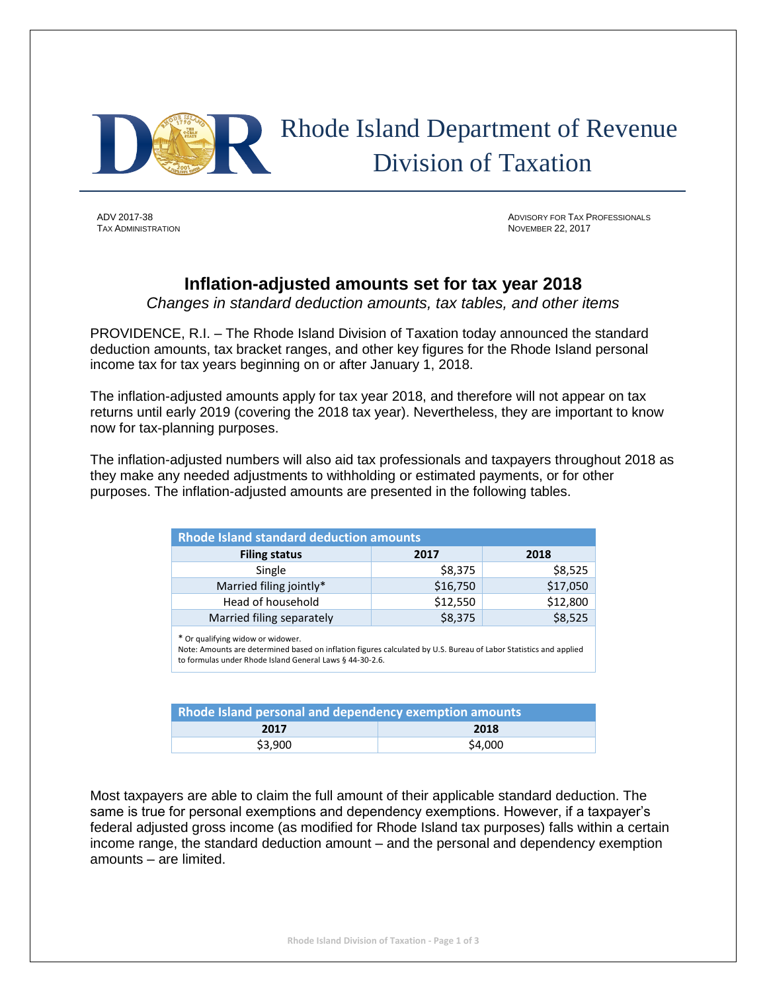

 Rhode Island Department of Revenue Division of Taxation

ADV 2017-38 ADVISORY FOR TAX PROFESSIONALS **NOVEMBER 22, 2017** 

# **Inflation-adjusted amounts set for tax year 2018**

*Changes in standard deduction amounts, tax tables, and other items*

PROVIDENCE, R.I. – The Rhode Island Division of Taxation today announced the standard deduction amounts, tax bracket ranges, and other key figures for the Rhode Island personal income tax for tax years beginning on or after January 1, 2018.

The inflation-adjusted amounts apply for tax year 2018, and therefore will not appear on tax returns until early 2019 (covering the 2018 tax year). Nevertheless, they are important to know now for tax-planning purposes.

The inflation-adjusted numbers will also aid tax professionals and taxpayers throughout 2018 as they make any needed adjustments to withholding or estimated payments, or for other purposes. The inflation-adjusted amounts are presented in the following tables.

| <b>Rhode Island standard deduction amounts</b> |          |          |  |  |  |  |  |  |
|------------------------------------------------|----------|----------|--|--|--|--|--|--|
| <b>Filing status</b><br>2017<br>2018           |          |          |  |  |  |  |  |  |
| Single                                         | \$8,375  | \$8,525  |  |  |  |  |  |  |
| Married filing jointly*                        | \$16,750 | \$17,050 |  |  |  |  |  |  |
| Head of household                              | \$12,550 | \$12,800 |  |  |  |  |  |  |
| Married filing separately                      | \$8,375  | \$8,525  |  |  |  |  |  |  |

\* Or qualifying widow or widower.

Note: Amounts are determined based on inflation figures calculated by U.S. Bureau of Labor Statistics and applied to formulas under Rhode Island General Laws § 44-30-2.6.

| Rhode Island personal and dependency exemption amounts |        |  |  |  |  |  |
|--------------------------------------------------------|--------|--|--|--|--|--|
| 2018<br>2017                                           |        |  |  |  |  |  |
| \$3.900                                                | S4.000 |  |  |  |  |  |

Most taxpayers are able to claim the full amount of their applicable standard deduction. The same is true for personal exemptions and dependency exemptions. However, if a taxpayer's federal adjusted gross income (as modified for Rhode Island tax purposes) falls within a certain income range, the standard deduction amount – and the personal and dependency exemption amounts – are limited.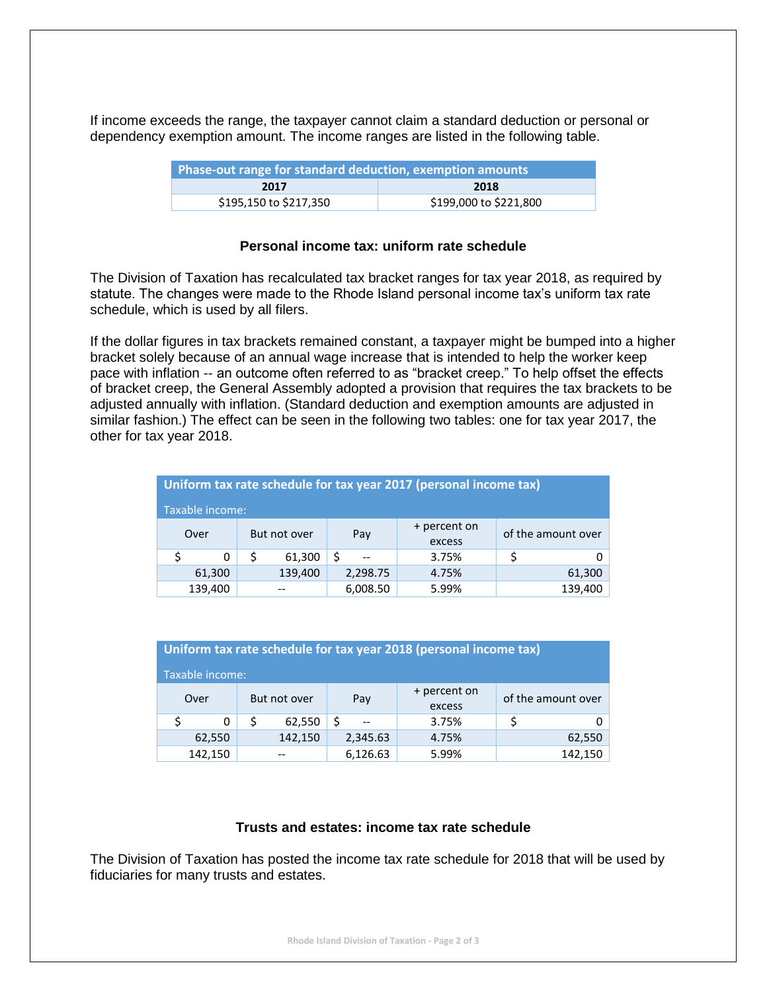If income exceeds the range, the taxpayer cannot claim a standard deduction or personal or dependency exemption amount. The income ranges are listed in the following table.

| Phase-out range for standard deduction, exemption amounts |                        |  |  |  |  |  |  |
|-----------------------------------------------------------|------------------------|--|--|--|--|--|--|
| 2018<br>2017                                              |                        |  |  |  |  |  |  |
| \$195,150 to \$217,350                                    | \$199,000 to \$221,800 |  |  |  |  |  |  |

#### **Personal income tax: uniform rate schedule**

The Division of Taxation has recalculated tax bracket ranges for tax year 2018, as required by statute. The changes were made to the Rhode Island personal income tax's uniform tax rate schedule, which is used by all filers.

If the dollar figures in tax brackets remained constant, a taxpayer might be bumped into a higher bracket solely because of an annual wage increase that is intended to help the worker keep pace with inflation -- an outcome often referred to as "bracket creep." To help offset the effects of bracket creep, the General Assembly adopted a provision that requires the tax brackets to be adjusted annually with inflation. (Standard deduction and exemption amounts are adjusted in similar fashion.) The effect can be seen in the following two tables: one for tax year 2017, the other for tax year 2018.

| Uniform tax rate schedule for tax year 2017 (personal income tax) |                                         |             |                        |                    |       |        |   |  |  |
|-------------------------------------------------------------------|-----------------------------------------|-------------|------------------------|--------------------|-------|--------|---|--|--|
| Taxable income:                                                   |                                         |             |                        |                    |       |        |   |  |  |
| But not over<br>Over                                              |                                         | Pay         | + percent on<br>excess | of the amount over |       |        |   |  |  |
|                                                                   | 0                                       | Ś<br>61,300 |                        | $-$                | 3.75% |        | 0 |  |  |
|                                                                   | 61,300                                  | 139,400     |                        | 2,298.75           | 4.75% | 61,300 |   |  |  |
|                                                                   | 139,400<br>139,400<br>6,008.50<br>5.99% |             |                        |                    |       |        |   |  |  |

| Uniform tax rate schedule for tax year 2018 (personal income tax) |        |         |     |                        |                    |        |         |  |  |  |
|-------------------------------------------------------------------|--------|---------|-----|------------------------|--------------------|--------|---------|--|--|--|
| Taxable income:                                                   |        |         |     |                        |                    |        |         |  |  |  |
| But not over<br>Over                                              |        |         | Pay | + percent on<br>excess | of the amount over |        |         |  |  |  |
|                                                                   | 0      | 62,550  |     |                        | 3.75%              |        | 0       |  |  |  |
|                                                                   | 62,550 | 142,150 |     | 2,345.63               | 4.75%              | 62,550 |         |  |  |  |
| 142,150                                                           |        |         |     | 6,126.63               | 5.99%              |        | 142,150 |  |  |  |

### **Trusts and estates: income tax rate schedule**

The Division of Taxation has posted the income tax rate schedule for 2018 that will be used by fiduciaries for many trusts and estates.